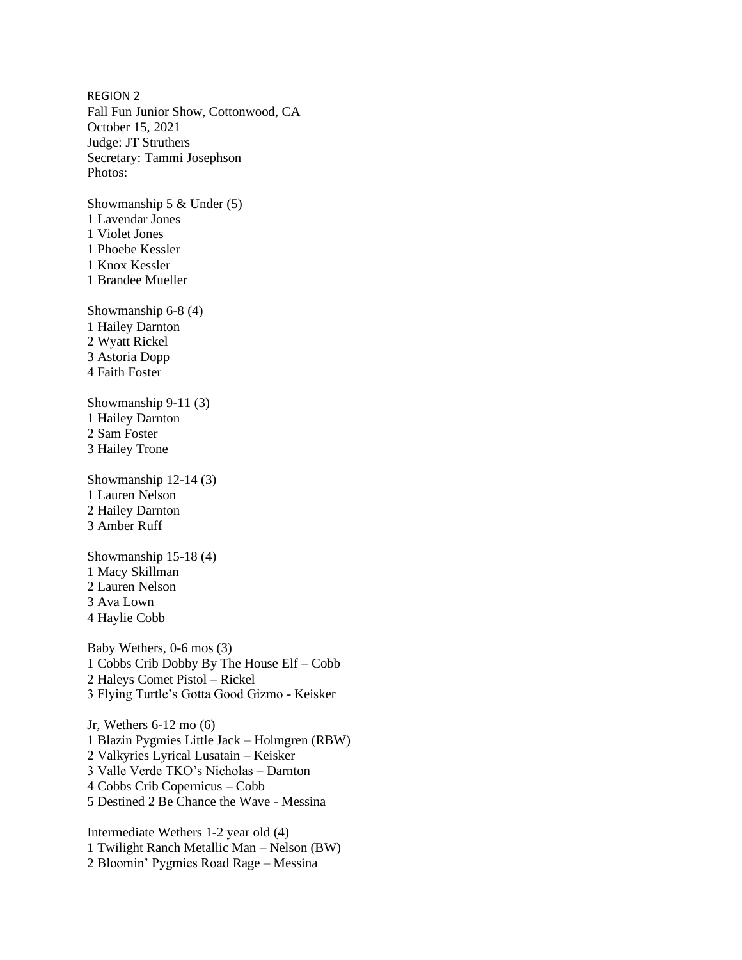REGION 2 Fall Fun Junior Show, Cottonwood, CA October 15, 2021 Judge: JT Struthers Secretary: Tammi Josephson Photos:

Showmanship 5 & Under (5) 1 Lavendar Jones 1 Violet Jones 1 Phoebe Kessler 1 Knox Kessler 1 Brandee Mueller

Showmanship 6-8 (4) 1 Hailey Darnton 2 Wyatt Rickel 3 Astoria Dopp 4 Faith Foster

Showmanship 9-11 (3) 1 Hailey Darnton 2 Sam Foster 3 Hailey Trone

Showmanship 12-14 (3) 1 Lauren Nelson 2 Hailey Darnton 3 Amber Ruff

Showmanship 15-18 (4) 1 Macy Skillman 2 Lauren Nelson 3 Ava Lown 4 Haylie Cobb

Baby Wethers, 0-6 mos (3) 1 Cobbs Crib Dobby By The House Elf – Cobb 2 Haleys Comet Pistol – Rickel 3 Flying Turtle's Gotta Good Gizmo - Keisker

Jr, Wethers 6-12 mo (6) 1 Blazin Pygmies Little Jack – Holmgren (RBW) 2 Valkyries Lyrical Lusatain – Keisker 3 Valle Verde TKO's Nicholas – Darnton 4 Cobbs Crib Copernicus – Cobb 5 Destined 2 Be Chance the Wave - Messina

Intermediate Wethers 1-2 year old (4) 1 Twilight Ranch Metallic Man – Nelson (BW) 2 Bloomin' Pygmies Road Rage – Messina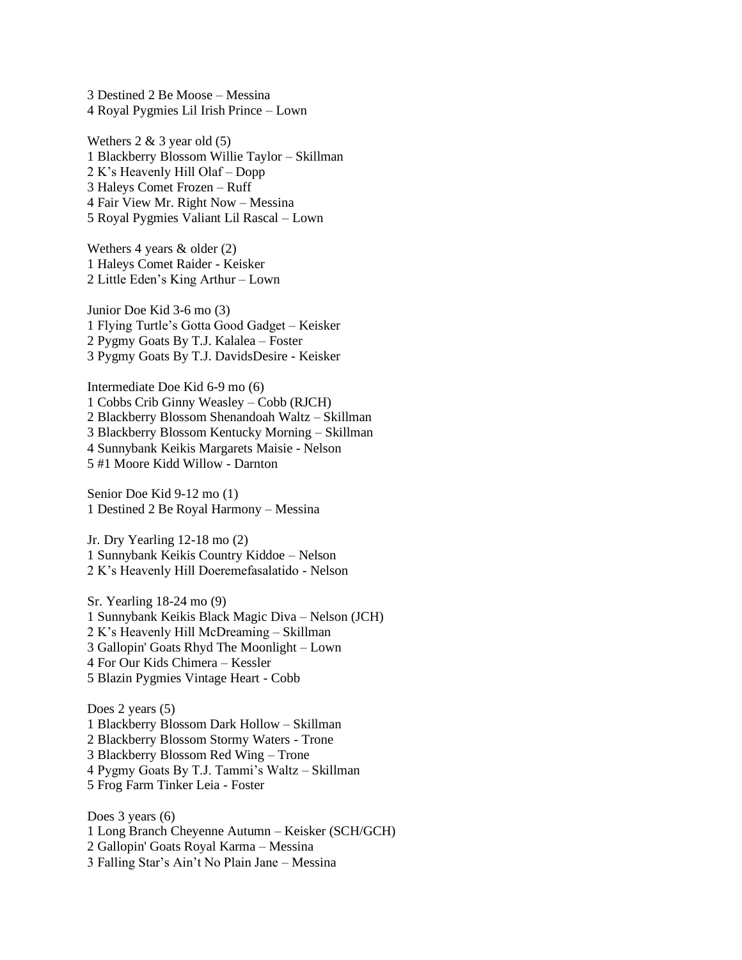3 Destined 2 Be Moose – Messina 4 Royal Pygmies Lil Irish Prince – Lown

Wethers  $2 \& 3$  year old  $(5)$ 1 Blackberry Blossom Willie Taylor – Skillman 2 K's Heavenly Hill Olaf – Dopp 3 Haleys Comet Frozen – Ruff 4 Fair View Mr. Right Now – Messina 5 Royal Pygmies Valiant Lil Rascal – Lown

Wethers 4 years & older (2) 1 Haleys Comet Raider - Keisker 2 Little Eden's King Arthur – Lown

Junior Doe Kid 3-6 mo (3) 1 Flying Turtle's Gotta Good Gadget – Keisker 2 Pygmy Goats By T.J. Kalalea – Foster 3 Pygmy Goats By T.J. DavidsDesire - Keisker

Intermediate Doe Kid 6-9 mo (6) 1 Cobbs Crib Ginny Weasley – Cobb (RJCH) 2 Blackberry Blossom Shenandoah Waltz – Skillman 3 Blackberry Blossom Kentucky Morning – Skillman 4 Sunnybank Keikis Margarets Maisie - Nelson 5 #1 Moore Kidd Willow - Darnton

Senior Doe Kid 9-12 mo (1) 1 Destined 2 Be Royal Harmony – Messina

Jr. Dry Yearling 12-18 mo (2) 1 Sunnybank Keikis Country Kiddoe – Nelson 2 K's Heavenly Hill Doeremefasalatido - Nelson

Sr. Yearling 18-24 mo (9) 1 Sunnybank Keikis Black Magic Diva – Nelson (JCH) 2 K's Heavenly Hill McDreaming – Skillman 3 Gallopin' Goats Rhyd The Moonlight – Lown 4 For Our Kids Chimera – Kessler 5 Blazin Pygmies Vintage Heart - Cobb

Does 2 years  $(5)$ 1 Blackberry Blossom Dark Hollow – Skillman 2 Blackberry Blossom Stormy Waters - Trone 3 Blackberry Blossom Red Wing – Trone 4 Pygmy Goats By T.J. Tammi's Waltz – Skillman 5 Frog Farm Tinker Leia - Foster

Does 3 years (6) 1 Long Branch Cheyenne Autumn – Keisker (SCH/GCH) 2 Gallopin' Goats Royal Karma – Messina 3 Falling Star's Ain't No Plain Jane – Messina